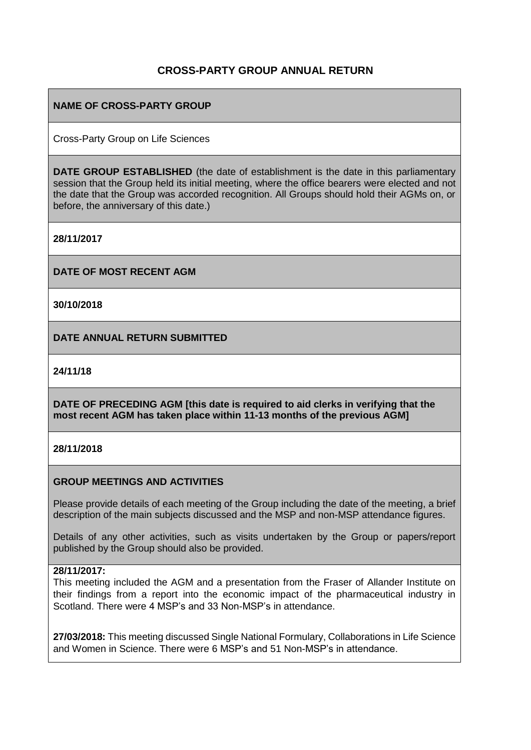# **CROSS-PARTY GROUP ANNUAL RETURN**

## **NAME OF CROSS-PARTY GROUP**

Cross-Party Group on Life Sciences

**DATE GROUP ESTABLISHED** (the date of establishment is the date in this parliamentary session that the Group held its initial meeting, where the office bearers were elected and not the date that the Group was accorded recognition. All Groups should hold their AGMs on, or before, the anniversary of this date.)

**28/11/2017**

**DATE OF MOST RECENT AGM**

**30/10/2018**

**DATE ANNUAL RETURN SUBMITTED**

**24/11/18**

**DATE OF PRECEDING AGM [this date is required to aid clerks in verifying that the most recent AGM has taken place within 11-13 months of the previous AGM]**

#### **28/11/2018**

## **GROUP MEETINGS AND ACTIVITIES**

Please provide details of each meeting of the Group including the date of the meeting, a brief description of the main subjects discussed and the MSP and non-MSP attendance figures.

Details of any other activities, such as visits undertaken by the Group or papers/report published by the Group should also be provided.

#### **28/11/2017:**

This meeting included the AGM and a presentation from the Fraser of Allander Institute on their findings from a report into the economic impact of the pharmaceutical industry in Scotland. There were 4 MSP's and 33 Non-MSP's in attendance.

**27/03/2018:** This meeting discussed Single National Formulary, Collaborations in Life Science and Women in Science. There were 6 MSP's and 51 Non-MSP's in attendance.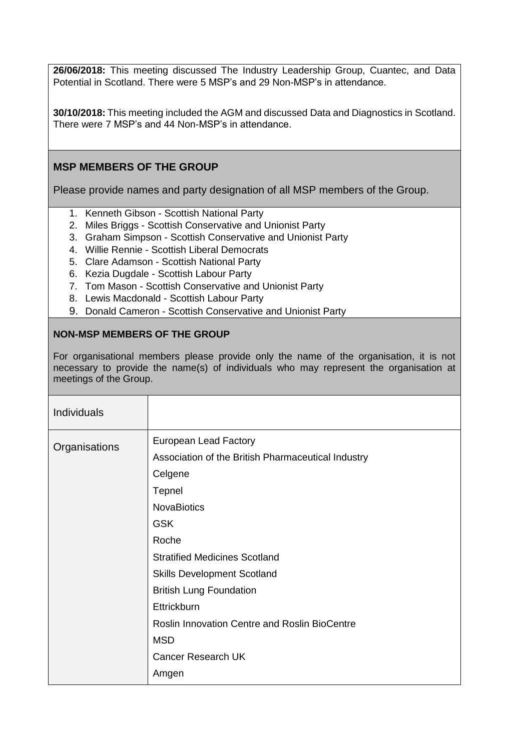**26/06/2018:** This meeting discussed The Industry Leadership Group, Cuantec, and Data Potential in Scotland. There were 5 MSP's and 29 Non-MSP's in attendance.

**30/10/2018:** This meeting included the AGM and discussed Data and Diagnostics in Scotland. There were 7 MSP's and 44 Non-MSP's in attendance.

## **MSP MEMBERS OF THE GROUP**

Please provide names and party designation of all MSP members of the Group.

- 1. Kenneth Gibson Scottish National Party
- 2. Miles Briggs Scottish Conservative and Unionist Party
- 3. Graham Simpson Scottish Conservative and Unionist Party
- 4. Willie Rennie Scottish Liberal Democrats
- 5. Clare Adamson Scottish National Party
- 6. Kezia Dugdale Scottish Labour Party
- 7. Tom Mason Scottish Conservative and Unionist Party
- 8. Lewis Macdonald Scottish Labour Party
- 9. Donald Cameron Scottish Conservative and Unionist Party

## **NON-MSP MEMBERS OF THE GROUP**

For organisational members please provide only the name of the organisation, it is not necessary to provide the name(s) of individuals who may represent the organisation at meetings of the Group.

| <b>Individuals</b> |                                                      |
|--------------------|------------------------------------------------------|
| Organisations      | <b>European Lead Factory</b>                         |
|                    | Association of the British Pharmaceutical Industry   |
|                    | Celgene                                              |
|                    | Tepnel                                               |
|                    | <b>NovaBiotics</b>                                   |
|                    | <b>GSK</b>                                           |
|                    | Roche                                                |
|                    | <b>Stratified Medicines Scotland</b>                 |
|                    | <b>Skills Development Scotland</b>                   |
|                    | <b>British Lung Foundation</b>                       |
|                    | Ettrickburn                                          |
|                    | <b>Roslin Innovation Centre and Roslin BioCentre</b> |
|                    | <b>MSD</b>                                           |
|                    | <b>Cancer Research UK</b>                            |
|                    | Amgen                                                |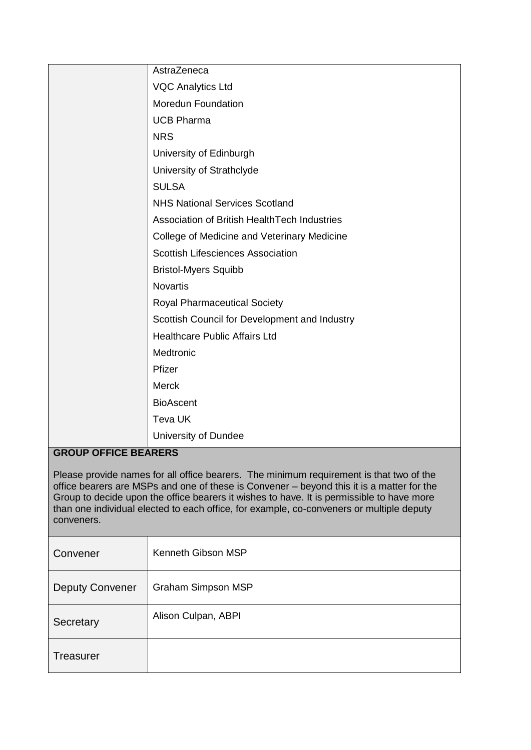| AstraZeneca                                   |  |
|-----------------------------------------------|--|
| <b>VQC Analytics Ltd</b>                      |  |
| <b>Moredun Foundation</b>                     |  |
| <b>UCB Pharma</b>                             |  |
| <b>NRS</b>                                    |  |
| University of Edinburgh                       |  |
| University of Strathclyde                     |  |
| <b>SULSA</b>                                  |  |
| <b>NHS National Services Scotland</b>         |  |
| Association of British HealthTech Industries  |  |
| College of Medicine and Veterinary Medicine   |  |
| <b>Scottish Lifesciences Association</b>      |  |
| <b>Bristol-Myers Squibb</b>                   |  |
| <b>Novartis</b>                               |  |
| <b>Royal Pharmaceutical Society</b>           |  |
| Scottish Council for Development and Industry |  |
| <b>Healthcare Public Affairs Ltd</b>          |  |
| Medtronic                                     |  |
| Pfizer                                        |  |
| <b>Merck</b>                                  |  |
| <b>BioAscent</b>                              |  |
| Teva UK                                       |  |
| University of Dundee                          |  |
| <b>GROUP OFFICE BEARERS</b>                   |  |

Please provide names for all office bearers. The minimum requirement is that two of the office bearers are MSPs and one of these is Convener – beyond this it is a matter for the Group to decide upon the office bearers it wishes to have. It is permissible to have more than one individual elected to each office, for example, co-conveners or multiple deputy conveners.

| Convener               | Kenneth Gibson MSP        |
|------------------------|---------------------------|
| <b>Deputy Convener</b> | <b>Graham Simpson MSP</b> |
| Secretary              | Alison Culpan, ABPI       |
| <b>Treasurer</b>       |                           |